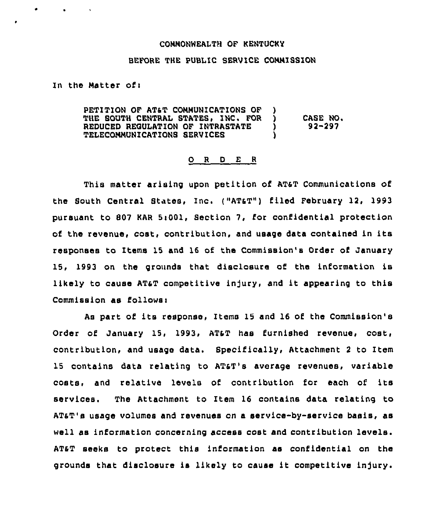## COHNONHEALTH OF KENTUCKy

## BEFORE THE PUBLIC SERVICE CONNISSION

In the Natter ofi

٠

 $\bullet$  . The set of  $\bullet$ 

PETITION OF AT&T COMMUNICATIONS OF )<br>THE SOUTH CENTRAL STATES, INC. FOR ) THE SOUTH CENTRAL STATES, INC. FOR ) CASE NO.<br>REDUCED REGULATION OF INTRASTATE ) 92-297 REDUCED REGULATION OF INTRASTATE TELECONNUNICATIONS SERVICES }

## 0 <sup>R</sup> <sup>D</sup> E <sup>R</sup>

This matter arising upon petition of AT6T Communications of the South Central States, Inc, ("ATaT" } filed February 12, 1993 pursuant to 807 KAR 5:001, Section 7, for confidential protection of the revenue, cost, contribution, and usage data contained in its responses to Items 15 and 16 of the Commission's Order of January 15, 1993 on the grounds that disclosure of the information is likely to cause AT&T competitive injury, and it appearing to this Commission as follows:

As part of its response, Items 15 and 16 of the Commission's Order of January 15, 1993, AT&T has furnished revenue, cost, contribution, and usage data. Specifically, Attachment <sup>2</sup> to Item 15 contains data relating to ATaT's average revenues, variable costs, and relative levels of contribution for each of its services. The Attachment to Item 16 contains data relating to ATAT's usage volumes and revenues cn a service-by-service basis, as well as information concerning access cost and contribution levels. AT6T seeks to protect this information ae confidential on the grounds that disclosure is likely to cause it competitive injury.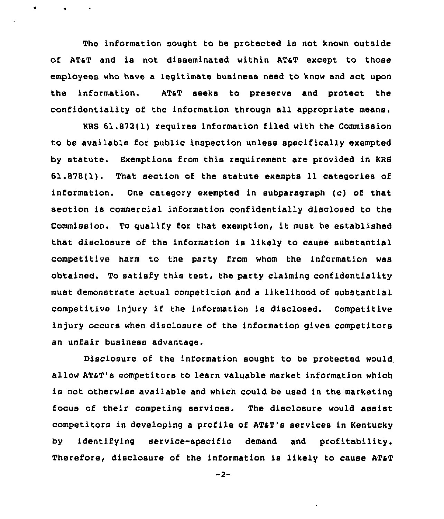The information sought to be protected is not known outside of ATST and is not disseminated within ATaT except to those employees who have a legitimate business need to know and act upon the information. AT&T seeks to preserve and protect the confidentiality of the information through all appropriate means.

KRS 61.872(l) requires information filed with the Commission to be available for public inspection unless specifically exempted by statute. Exemptions from this requirement are provided in KRS 61.878(1). That section of the statute exempts 11 categories of information. One category exempted in subparagraph (c) of that section is commercial information confidentially disclosed to the Commission. To qualify for that exemption, it must be established that disclosure of the information is likely to cause substantial competitive harm to the party irom whom the information was obtained. To satisfy this test, the party claiming confidentiality must demonstrate actual competition and a likelihood of substantial competitive injury if the information is disclosed. Competitive injury occurs when disclosure of the information gives competitors an unfair business advantage.

Disclosure of the information sought to be protected would allow ATaT's competitors to learn valuable market information which is not otherwise available and which could be used in the marketing focus of their competing services. The disclosure would assist competitors in developing a profile of AT&T's services in Kentucky by identifying service-specific demand and profitability. Therefore, disclosure of the information is likely to cause AT&T

 $-2-$